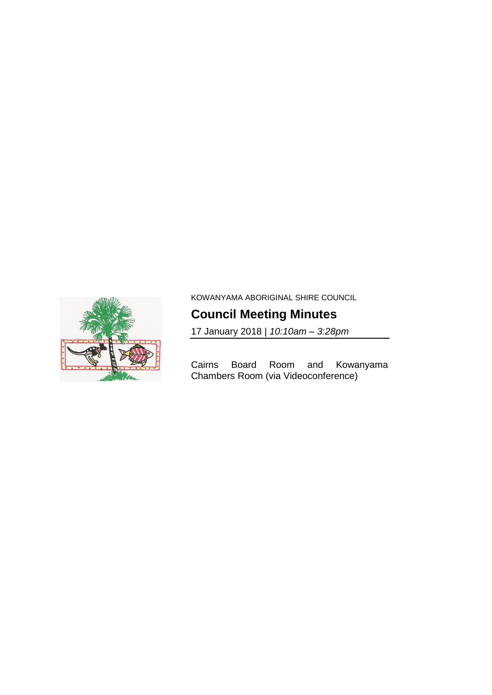

KOWANYAMA ABORIGINAL SHIRE COUNCIL

# **Council Meeting Minutes**

17 January 2018 | *10:10am – 3:28pm*

Cairns Board Room and Kowanyama Chambers Room (via Videoconference)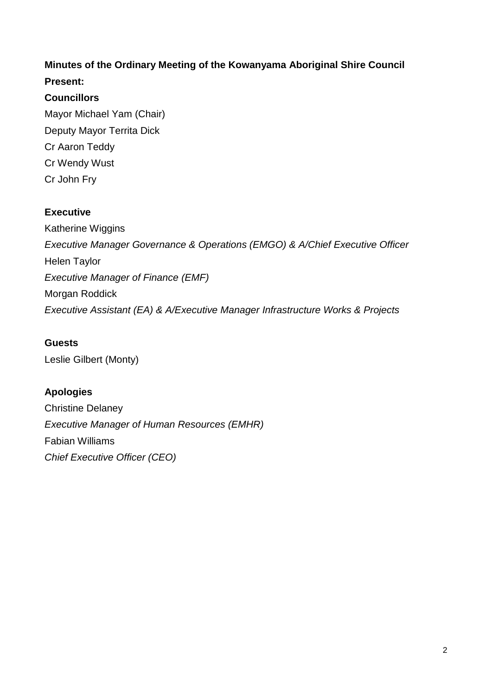## **Minutes of the Ordinary Meeting of the Kowanyama Aboriginal Shire Council Present:**

## **Councillors**

Mayor Michael Yam (Chair) Deputy Mayor Territa Dick Cr Aaron Teddy Cr Wendy Wust Cr John Fry

## **Executive**

Katherine Wiggins *Executive Manager Governance & Operations (EMGO) & A/Chief Executive Officer* Helen Taylor *Executive Manager of Finance (EMF)* Morgan Roddick *Executive Assistant (EA) & A/Executive Manager Infrastructure Works & Projects*

## **Guests**

Leslie Gilbert (Monty)

## **Apologies**

Christine Delaney *Executive Manager of Human Resources (EMHR)* Fabian Williams *Chief Executive Officer (CEO)*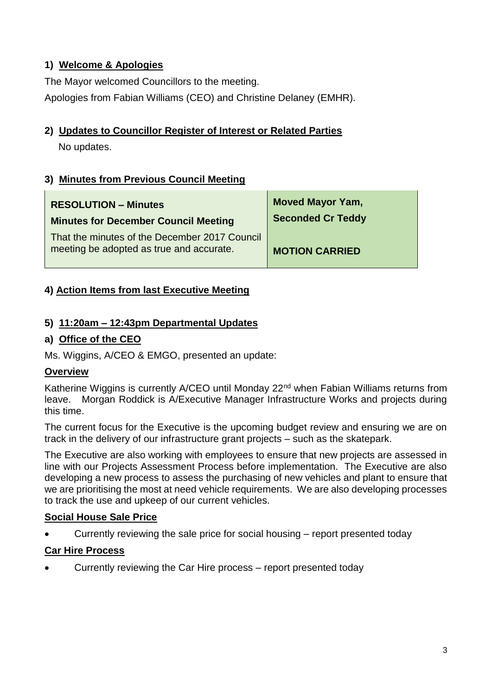## **1) Welcome & Apologies**

The Mayor welcomed Councillors to the meeting.

Apologies from Fabian Williams (CEO) and Christine Delaney (EMHR).

## **2) Updates to Councillor Register of Interest or Related Parties**

No updates.

## **3) Minutes from Previous Council Meeting**

| <b>RESOLUTION - Minutes</b>                                                               | <b>Moved Mayor Yam,</b>  |
|-------------------------------------------------------------------------------------------|--------------------------|
| <b>Minutes for December Council Meeting</b>                                               | <b>Seconded Cr Teddy</b> |
| That the minutes of the December 2017 Council<br>meeting be adopted as true and accurate. | <b>MOTION CARRIED</b>    |

### **4) Action Items from last Executive Meeting**

### **5) 11:20am – 12:43pm Departmental Updates**

### **a) Office of the CEO**

Ms. Wiggins, A/CEO & EMGO, presented an update:

#### **Overview**

Katherine Wiggins is currently A/CEO until Monday 22<sup>nd</sup> when Fabian Williams returns from leave. Morgan Roddick is A/Executive Manager Infrastructure Works and projects during this time.

The current focus for the Executive is the upcoming budget review and ensuring we are on track in the delivery of our infrastructure grant projects – such as the skatepark.

The Executive are also working with employees to ensure that new projects are assessed in line with our Projects Assessment Process before implementation. The Executive are also developing a new process to assess the purchasing of new vehicles and plant to ensure that we are prioritising the most at need vehicle requirements. We are also developing processes to track the use and upkeep of our current vehicles.

#### **Social House Sale Price**

Currently reviewing the sale price for social housing – report presented today

#### **Car Hire Process**

Currently reviewing the Car Hire process – report presented today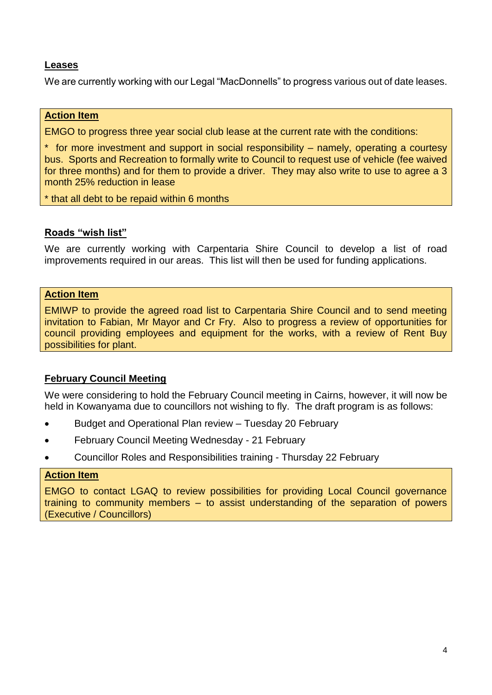#### **Leases**

We are currently working with our Legal "MacDonnells" to progress various out of date leases.

#### **Action Item**

EMGO to progress three year social club lease at the current rate with the conditions:

\* for more investment and support in social responsibility – namely, operating a courtesy bus. Sports and Recreation to formally write to Council to request use of vehicle (fee waived for three months) and for them to provide a driver. They may also write to use to agree a 3 month 25% reduction in lease

\* that all debt to be repaid within 6 months

#### **Roads "wish list"**

We are currently working with Carpentaria Shire Council to develop a list of road improvements required in our areas. This list will then be used for funding applications.

#### **Action Item**

EMIWP to provide the agreed road list to Carpentaria Shire Council and to send meeting invitation to Fabian, Mr Mayor and Cr Fry. Also to progress a review of opportunities for council providing employees and equipment for the works, with a review of Rent Buy possibilities for plant.

#### **February Council Meeting**

We were considering to hold the February Council meeting in Cairns, however, it will now be held in Kowanyama due to councillors not wishing to fly. The draft program is as follows:

- Budget and Operational Plan review Tuesday 20 February
- February Council Meeting Wednesday 21 February
- Councillor Roles and Responsibilities training Thursday 22 February

#### **Action Item**

EMGO to contact LGAQ to review possibilities for providing Local Council governance training to community members – to assist understanding of the separation of powers (Executive / Councillors)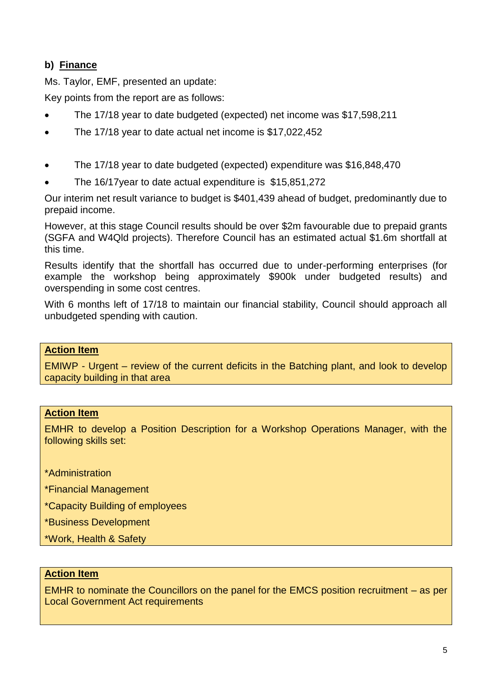## **b) Finance**

Ms. Taylor, EMF, presented an update:

Key points from the report are as follows:

- The 17/18 year to date budgeted (expected) net income was \$17,598,211
- The 17/18 year to date actual net income is \$17,022,452
- The 17/18 year to date budgeted (expected) expenditure was \$16,848,470
- The 16/17year to date actual expenditure is \$15,851,272

Our interim net result variance to budget is \$401,439 ahead of budget, predominantly due to prepaid income.

However, at this stage Council results should be over \$2m favourable due to prepaid grants (SGFA and W4Qld projects). Therefore Council has an estimated actual \$1.6m shortfall at this time.

Results identify that the shortfall has occurred due to under-performing enterprises (for example the workshop being approximately \$900k under budgeted results) and overspending in some cost centres.

With 6 months left of 17/18 to maintain our financial stability, Council should approach all unbudgeted spending with caution.

#### **Action Item**

EMIWP - Urgent – review of the current deficits in the Batching plant, and look to develop capacity building in that area

#### **Action Item**

EMHR to develop a Position Description for a Workshop Operations Manager, with the following skills set:

\*Administration

\*Financial Management

\*Capacity Building of employees

\*Business Development

\*Work, Health & Safety

#### **Action Item**

EMHR to nominate the Councillors on the panel for the EMCS position recruitment – as per **Local Government Act requirements**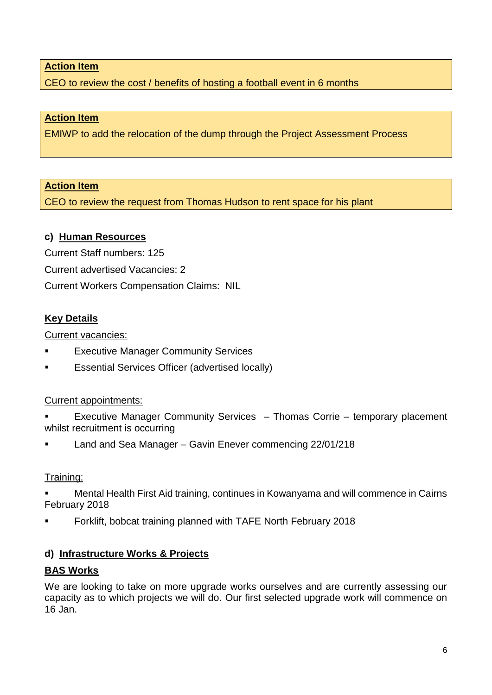CEO to review the cost / benefits of hosting a football event in 6 months

#### **Action Item**

EMIWP to add the relocation of the dump through the Project Assessment Process

#### **Action Item**

CEO to review the request from Thomas Hudson to rent space for his plant

#### **c) Human Resources**

Current Staff numbers: 125 Current advertised Vacancies: 2 Current Workers Compensation Claims: NIL

#### **Key Details**

Current vacancies:

- Executive Manager Community Services
- Essential Services Officer (advertised locally)

#### Current appointments:

- Executive Manager Community Services Thomas Corrie temporary placement whilst recruitment is occurring
- Land and Sea Manager Gavin Enever commencing 22/01/218

#### Training:

- Mental Health First Aid training, continues in Kowanyama and will commence in Cairns February 2018
- Forklift, bobcat training planned with TAFE North February 2018

#### **d) Infrastructure Works & Projects**

#### **BAS Works**

We are looking to take on more upgrade works ourselves and are currently assessing our capacity as to which projects we will do. Our first selected upgrade work will commence on 16 Jan.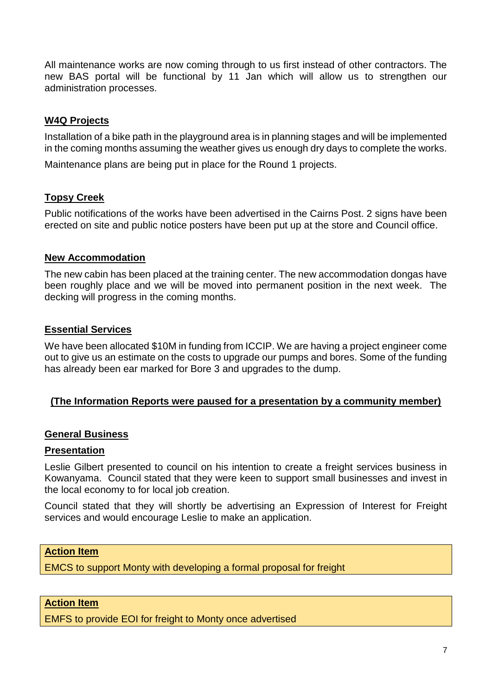All maintenance works are now coming through to us first instead of other contractors. The new BAS portal will be functional by 11 Jan which will allow us to strengthen our administration processes.

#### **W4Q Projects**

Installation of a bike path in the playground area is in planning stages and will be implemented in the coming months assuming the weather gives us enough dry days to complete the works.

Maintenance plans are being put in place for the Round 1 projects.

#### **Topsy Creek**

Public notifications of the works have been advertised in the Cairns Post. 2 signs have been erected on site and public notice posters have been put up at the store and Council office.

#### **New Accommodation**

The new cabin has been placed at the training center. The new accommodation dongas have been roughly place and we will be moved into permanent position in the next week. The decking will progress in the coming months.

#### **Essential Services**

We have been allocated \$10M in funding from ICCIP. We are having a project engineer come out to give us an estimate on the costs to upgrade our pumps and bores. Some of the funding has already been ear marked for Bore 3 and upgrades to the dump.

#### **(The Information Reports were paused for a presentation by a community member)**

#### **General Business**

#### **Presentation**

Leslie Gilbert presented to council on his intention to create a freight services business in Kowanyama. Council stated that they were keen to support small businesses and invest in the local economy to for local job creation.

Council stated that they will shortly be advertising an Expression of Interest for Freight services and would encourage Leslie to make an application.

#### **Action Item**

EMCS to support Monty with developing a formal proposal for freight

#### **Action Item**

EMFS to provide EOI for freight to Monty once advertised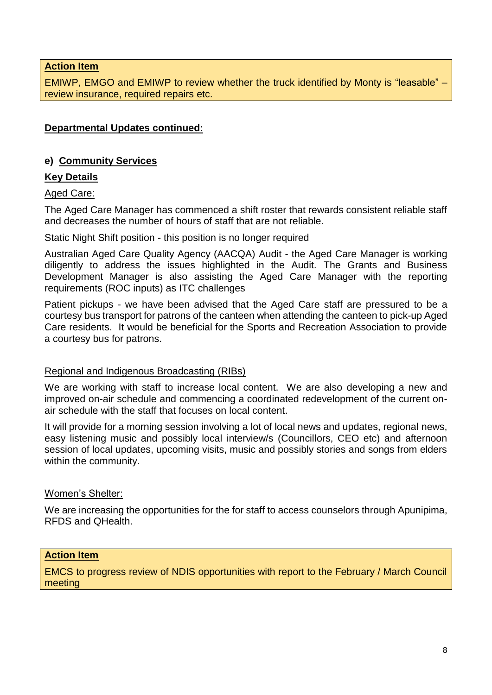EMIWP, EMGO and EMIWP to review whether the truck identified by Monty is "leasable" – review insurance, required repairs etc.

#### **Departmental Updates continued:**

#### **e) Community Services**

#### **Key Details**

Aged Care:

The Aged Care Manager has commenced a shift roster that rewards consistent reliable staff and decreases the number of hours of staff that are not reliable.

Static Night Shift position - this position is no longer required

Australian Aged Care Quality Agency (AACQA) Audit - the Aged Care Manager is working diligently to address the issues highlighted in the Audit. The Grants and Business Development Manager is also assisting the Aged Care Manager with the reporting requirements (ROC inputs) as ITC challenges

Patient pickups - we have been advised that the Aged Care staff are pressured to be a courtesy bus transport for patrons of the canteen when attending the canteen to pick-up Aged Care residents. It would be beneficial for the Sports and Recreation Association to provide a courtesy bus for patrons.

#### Regional and Indigenous Broadcasting (RIBs)

We are working with staff to increase local content. We are also developing a new and improved on-air schedule and commencing a coordinated redevelopment of the current onair schedule with the staff that focuses on local content.

It will provide for a morning session involving a lot of local news and updates, regional news, easy listening music and possibly local interview/s (Councillors, CEO etc) and afternoon session of local updates, upcoming visits, music and possibly stories and songs from elders within the community.

#### Women's Shelter:

We are increasing the opportunities for the for staff to access counselors through Apunipima, RFDS and QHealth.

#### **Action Item**

EMCS to progress review of NDIS opportunities with report to the February / March Council meeting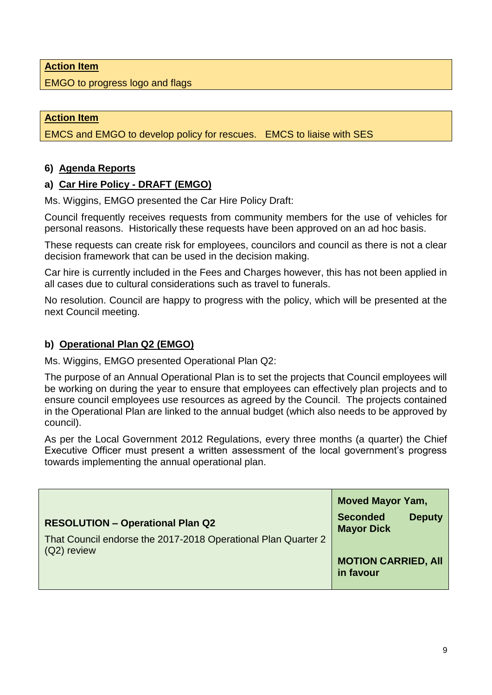EMGO to progress logo and flags

#### **Action Item**

EMCS and EMGO to develop policy for rescues. EMCS to liaise with SES

#### **6) Agenda Reports**

#### **a) Car Hire Policy - DRAFT (EMGO)**

Ms. Wiggins, EMGO presented the Car Hire Policy Draft:

Council frequently receives requests from community members for the use of vehicles for personal reasons. Historically these requests have been approved on an ad hoc basis.

These requests can create risk for employees, councilors and council as there is not a clear decision framework that can be used in the decision making.

Car hire is currently included in the Fees and Charges however, this has not been applied in all cases due to cultural considerations such as travel to funerals.

No resolution. Council are happy to progress with the policy, which will be presented at the next Council meeting.

#### **b) Operational Plan Q2 (EMGO)**

Ms. Wiggins, EMGO presented Operational Plan Q2:

The purpose of an Annual Operational Plan is to set the projects that Council employees will be working on during the year to ensure that employees can effectively plan projects and to ensure council employees use resources as agreed by the Council. The projects contained in the Operational Plan are linked to the annual budget (which also needs to be approved by council).

As per the Local Government 2012 Regulations, every three months (a quarter) the Chief Executive Officer must present a written assessment of the local government's progress towards implementing the annual operational plan.

|                                                                                | <b>Moved Mayor Yam,</b>                               |
|--------------------------------------------------------------------------------|-------------------------------------------------------|
| <b>RESOLUTION - Operational Plan Q2</b>                                        | <b>Seconded</b><br><b>Deputy</b><br><b>Mayor Dick</b> |
| That Council endorse the 2017-2018 Operational Plan Quarter 2<br>$(Q2)$ review |                                                       |
|                                                                                | <b>MOTION CARRIED, AII</b><br>in favour               |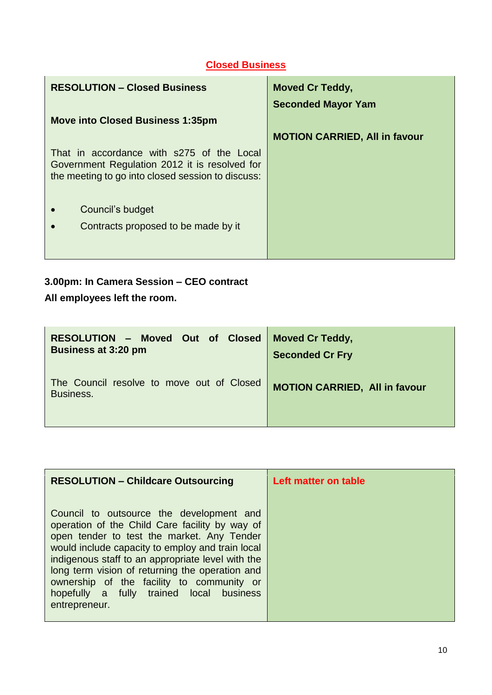## **Closed Business**

| <b>RESOLUTION - Closed Business</b>                                                                                                             | <b>Moved Cr Teddy,</b><br><b>Seconded Mayor Yam</b> |
|-------------------------------------------------------------------------------------------------------------------------------------------------|-----------------------------------------------------|
| <b>Move into Closed Business 1:35pm</b>                                                                                                         |                                                     |
|                                                                                                                                                 | <b>MOTION CARRIED, All in favour</b>                |
| That in accordance with s275 of the Local<br>Government Regulation 2012 it is resolved for<br>the meeting to go into closed session to discuss: |                                                     |
| Council's budget                                                                                                                                |                                                     |
| Contracts proposed to be made by it                                                                                                             |                                                     |
|                                                                                                                                                 |                                                     |

## **3.00pm: In Camera Session – CEO contract**

**All employees left the room.**

| RESOLUTION - Moved Out of Closed                       | <b>Moved Cr Teddy,</b>               |
|--------------------------------------------------------|--------------------------------------|
| <b>Business at 3:20 pm</b>                             | <b>Seconded Cr Fry</b>               |
| The Council resolve to move out of Closed<br>Business. | <b>MOTION CARRIED, All in favour</b> |

| <b>RESOLUTION - Childcare Outsourcing</b>                                                                                                                                                                                                                                                                                                                                                                      | Left matter on table |
|----------------------------------------------------------------------------------------------------------------------------------------------------------------------------------------------------------------------------------------------------------------------------------------------------------------------------------------------------------------------------------------------------------------|----------------------|
| Council to outsource the development and<br>operation of the Child Care facility by way of<br>open tender to test the market. Any Tender<br>would include capacity to employ and train local<br>indigenous staff to an appropriate level with the<br>long term vision of returning the operation and<br>ownership of the facility to community or<br>hopefully a fully trained local business<br>entrepreneur. |                      |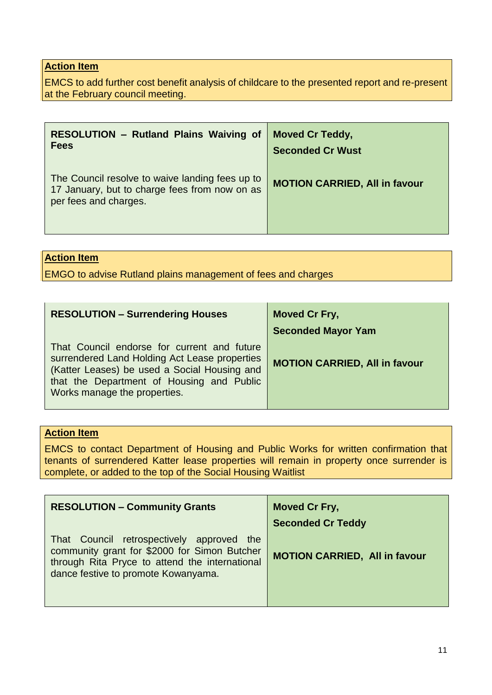EMCS to add further cost benefit analysis of childcare to the presented report and re-present at the February council meeting.

| <b>RESOLUTION - Rutland Plains Waiving of</b>                                                                             | <b>Moved Cr Teddy,</b>               |
|---------------------------------------------------------------------------------------------------------------------------|--------------------------------------|
| <b>Fees</b>                                                                                                               | <b>Seconded Cr Wust</b>              |
| The Council resolve to waive landing fees up to<br>17 January, but to charge fees from now on as<br>per fees and charges. | <b>MOTION CARRIED, All in favour</b> |

#### **Action Item**

EMGO to advise Rutland plains management of fees and charges

| <b>RESOLUTION - Surrendering Houses</b>                                                                                                                                                                                   | <b>Moved Cr Fry,</b>                 |
|---------------------------------------------------------------------------------------------------------------------------------------------------------------------------------------------------------------------------|--------------------------------------|
|                                                                                                                                                                                                                           | <b>Seconded Mayor Yam</b>            |
| That Council endorse for current and future<br>surrendered Land Holding Act Lease properties<br>(Katter Leases) be used a Social Housing and<br>that the Department of Housing and Public<br>Works manage the properties. | <b>MOTION CARRIED, All in favour</b> |

### **Action Item**

EMCS to contact Department of Housing and Public Works for written confirmation that tenants of surrendered Katter lease properties will remain in property once surrender is complete, or added to the top of the Social Housing Waitlist

| <b>RESOLUTION - Community Grants</b>                                                                                                                                               | Moved Cr Fry,                        |
|------------------------------------------------------------------------------------------------------------------------------------------------------------------------------------|--------------------------------------|
|                                                                                                                                                                                    | <b>Seconded Cr Teddy</b>             |
| That Council retrospectively approved the<br>community grant for \$2000 for Simon Butcher<br>through Rita Pryce to attend the international<br>dance festive to promote Kowanyama. | <b>MOTION CARRIED, All in favour</b> |